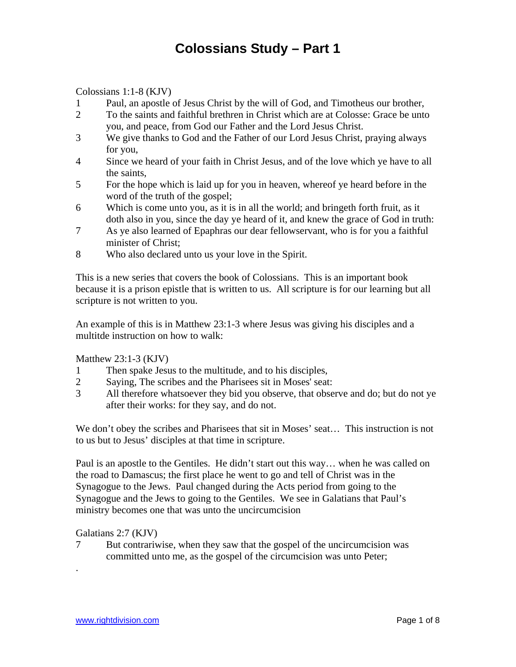Colossians 1:1-8 (KJV)

- 1 Paul, an apostle of Jesus Christ by the will of God, and Timotheus our brother,
- 2 To the saints and faithful brethren in Christ which are at Colosse: Grace be unto you, and peace, from God our Father and the Lord Jesus Christ.
- 3 We give thanks to God and the Father of our Lord Jesus Christ, praying always for you,
- 4 Since we heard of your faith in Christ Jesus, and of the love which ye have to all the saints,
- 5 For the hope which is laid up for you in heaven, whereof ye heard before in the word of the truth of the gospel;
- 6 Which is come unto you, as it is in all the world; and bringeth forth fruit, as it doth also in you, since the day ye heard of it, and knew the grace of God in truth:
- 7 As ye also learned of Epaphras our dear fellowservant, who is for you a faithful minister of Christ;
- 8 Who also declared unto us your love in the Spirit.

This is a new series that covers the book of Colossians. This is an important book because it is a prison epistle that is written to us. All scripture is for our learning but all scripture is not written to you.

An example of this is in Matthew 23:1-3 where Jesus was giving his disciples and a multitde instruction on how to walk:

Matthew 23:1-3 (KJV)

- 1 Then spake Jesus to the multitude, and to his disciples,
- 2 Saying, The scribes and the Pharisees sit in Moses' seat:
- 3 All therefore whatsoever they bid you observe, that observe and do; but do not ye after their works: for they say, and do not.

We don't obey the scribes and Pharisees that sit in Moses' seat... This instruction is not to us but to Jesus' disciples at that time in scripture.

Paul is an apostle to the Gentiles. He didn't start out this way… when he was called on the road to Damascus; the first place he went to go and tell of Christ was in the Synagogue to the Jews. Paul changed during the Acts period from going to the Synagogue and the Jews to going to the Gentiles. We see in Galatians that Paul's ministry becomes one that was unto the uncircumcision

Galatians 2:7 (KJV)

.

7 But contrariwise, when they saw that the gospel of the uncircumcision was committed unto me, as the gospel of the circumcision was unto Peter;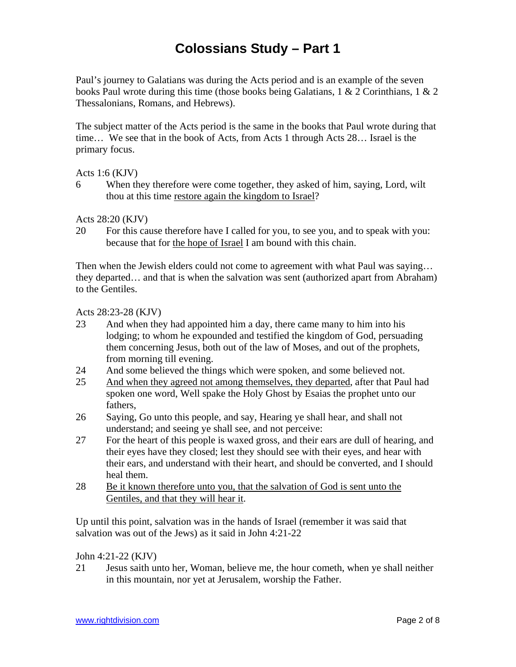Paul's journey to Galatians was during the Acts period and is an example of the seven books Paul wrote during this time (those books being Galatians, 1 & 2 Corinthians, 1 & 2 Thessalonians, Romans, and Hebrews).

The subject matter of the Acts period is the same in the books that Paul wrote during that time… We see that in the book of Acts, from Acts 1 through Acts 28… Israel is the primary focus.

Acts 1:6 (KJV)

6 When they therefore were come together, they asked of him, saying, Lord, wilt thou at this time restore again the kingdom to Israel?

Acts 28:20 (KJV)

20 For this cause therefore have I called for you, to see you, and to speak with you: because that for the hope of Israel I am bound with this chain.

Then when the Jewish elders could not come to agreement with what Paul was saying... they departed… and that is when the salvation was sent (authorized apart from Abraham) to the Gentiles.

Acts 28:23-28 (KJV)

- 23 And when they had appointed him a day, there came many to him into his lodging; to whom he expounded and testified the kingdom of God, persuading them concerning Jesus, both out of the law of Moses, and out of the prophets, from morning till evening.
- 24 And some believed the things which were spoken, and some believed not.
- 25 And when they agreed not among themselves, they departed, after that Paul had spoken one word, Well spake the Holy Ghost by Esaias the prophet unto our fathers,
- 26 Saying, Go unto this people, and say, Hearing ye shall hear, and shall not understand; and seeing ye shall see, and not perceive:
- 27 For the heart of this people is waxed gross, and their ears are dull of hearing, and their eyes have they closed; lest they should see with their eyes, and hear with their ears, and understand with their heart, and should be converted, and I should heal them.
- 28 Be it known therefore unto you, that the salvation of God is sent unto the Gentiles, and that they will hear it.

Up until this point, salvation was in the hands of Israel (remember it was said that salvation was out of the Jews) as it said in John 4:21-22

John 4:21-22 (KJV)

21 Jesus saith unto her, Woman, believe me, the hour cometh, when ye shall neither in this mountain, nor yet at Jerusalem, worship the Father.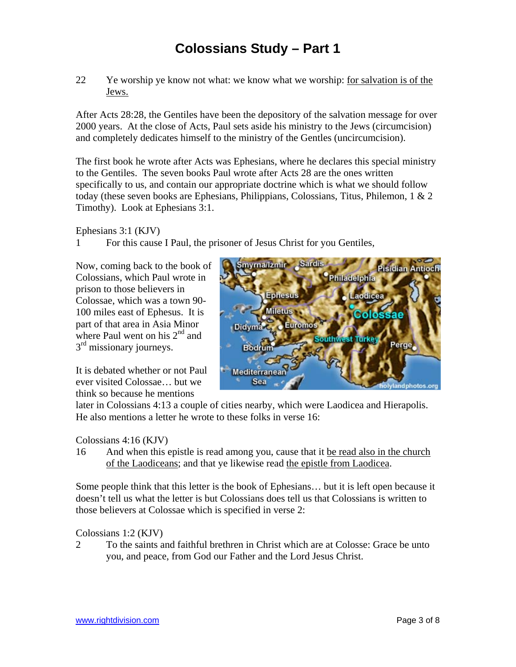22 Ye worship ye know not what: we know what we worship: for salvation is of the Jews.

After Acts 28:28, the Gentiles have been the depository of the salvation message for over 2000 years. At the close of Acts, Paul sets aside his ministry to the Jews (circumcision) and completely dedicates himself to the ministry of the Gentles (uncircumcision).

The first book he wrote after Acts was Ephesians, where he declares this special ministry to the Gentiles. The seven books Paul wrote after Acts 28 are the ones written specifically to us, and contain our appropriate doctrine which is what we should follow today (these seven books are Ephesians, Philippians, Colossians, Titus, Philemon, 1 & 2 Timothy). Look at Ephesians 3:1.

Ephesians 3:1 (KJV)

1 For this cause I Paul, the prisoner of Jesus Christ for you Gentiles,

Now, coming back to the book of Colossians, which Paul wrote in prison to those believers in Colossae, which was a town 90- 100 miles east of Ephesus. It is part of that area in Asia Minor where Paul went on his  $2<sup>nd</sup>$  and 3<sup>rd</sup> missionary journeys.

It is debated whether or not Paul ever visited Colossae… but we think so because he mentions



later in Colossians 4:13 a couple of cities nearby, which were Laodicea and Hierapolis. He also mentions a letter he wrote to these folks in verse 16:

#### Colossians 4:16 (KJV)

16 And when this epistle is read among you, cause that it be read also in the church of the Laodiceans; and that ye likewise read the epistle from Laodicea.

Some people think that this letter is the book of Ephesians… but it is left open because it doesn't tell us what the letter is but Colossians does tell us that Colossians is written to those believers at Colossae which is specified in verse 2:

Colossians 1:2 (KJV)

2 To the saints and faithful brethren in Christ which are at Colosse: Grace be unto you, and peace, from God our Father and the Lord Jesus Christ.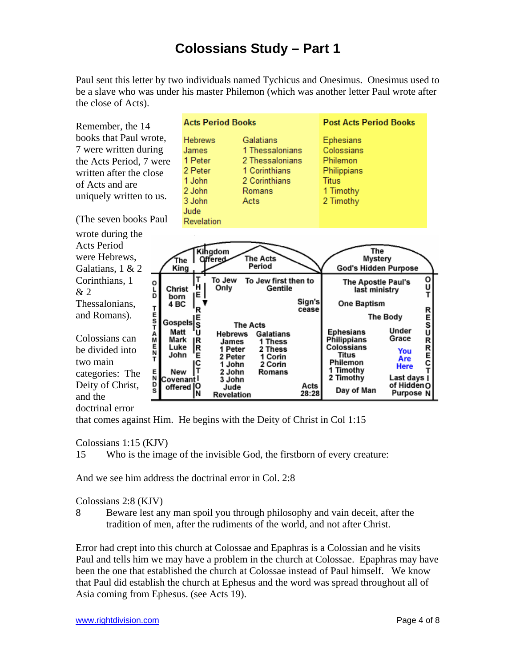Paul sent this letter by two individuals named Tychicus and Onesimus. Onesimus used to be a slave who was under his master Philemon (which was another letter Paul wrote after the close of Acts).

**Acts Period Books Post Acts Period Books** Remember, the 14 books that Paul wrote, **Hebrews** Galatians **Ephesians** 7 were written during James 1 Thessalonians Colossians 1 Peter 2 Thessalonians Philemon the Acts Period, 7 were 2 Peter 1 Corinthians Philippians written after the close 1 John 2 Corinthians **Titus** of Acts and are 2 John **Romans** 1 Timothy uniquely written to us. 3 John Acts 2 Timothy Jude (The seven books Paul Revelation wrote during the Acts Period Kingdom **The** were Hebrews, The Acts Mystery Ŧһе Offered Period God's Hidden Purpose King Galatians, 1 & 2 o Corinthians, 1 To Jew To Jew first then to **The Apostle Paul's** o Ū ΈH Only Gentile Ĕ Christ last ministry & 2 Ť born ıΕ Sign's One Baptism Thessalonians, 4 BC **TEST** R cease R<br>E<br>S<br>U and Romans). The Body **Gospels** S **The Acts** Under Matt **Ephesians** Å<br>M п **Hebrews** Galatians Colossians can Grace Mark Philippians **RREC** R 1 Thess **James** E<br>N Luke Colossians |R 1 Peter be divided into 2 Thess You Titus John E 2 Peter 1 Corin Are two main Philemon IC 1 John 2 Corin Here 1 Timothy E New Iτ 2 John Romans categories: The 2 Timothy Last days | N Covenantl 3 John Deity of Christ, of Hidden O Acts offered |O Jude Day of Man s Purpose N N **Revelation** 28:28 and the

doctrinal error

that comes against Him. He begins with the Deity of Christ in Col 1:15

Colossians 1:15 (KJV)

15 Who is the image of the invisible God, the firstborn of every creature:

And we see him address the doctrinal error in Col. 2:8

#### Colossians 2:8 (KJV)

8 Beware lest any man spoil you through philosophy and vain deceit, after the tradition of men, after the rudiments of the world, and not after Christ.

Error had crept into this church at Colossae and Epaphras is a Colossian and he visits Paul and tells him we may have a problem in the church at Colossae. Epaphras may have been the one that established the church at Colossae instead of Paul himself. We know that Paul did establish the church at Ephesus and the word was spread throughout all of Asia coming from Ephesus. (see Acts 19).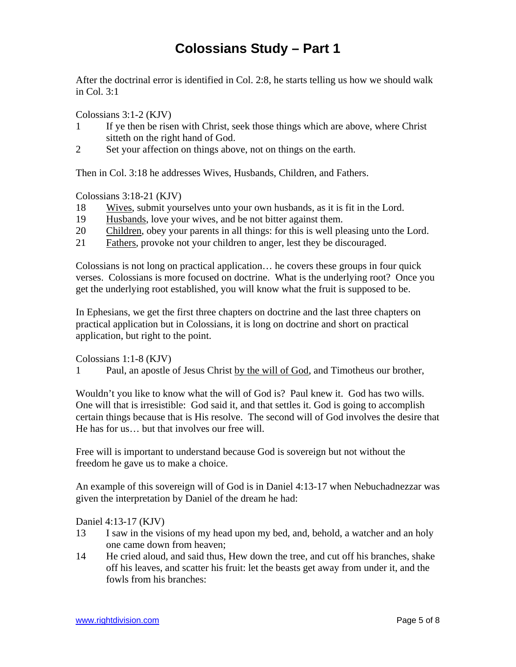After the doctrinal error is identified in Col. 2:8, he starts telling us how we should walk in Col. 3:1

Colossians 3:1-2 (KJV)

- 1 If ye then be risen with Christ, seek those things which are above, where Christ sitteth on the right hand of God.
- 2 Set your affection on things above, not on things on the earth.

Then in Col. 3:18 he addresses Wives, Husbands, Children, and Fathers.

Colossians 3:18-21 (KJV)

- 18 Wives, submit yourselves unto your own husbands, as it is fit in the Lord.
- 19 Husbands, love your wives, and be not bitter against them.
- 20 Children, obey your parents in all things: for this is well pleasing unto the Lord.
- 21 Fathers, provoke not your children to anger, lest they be discouraged.

Colossians is not long on practical application… he covers these groups in four quick verses. Colossians is more focused on doctrine. What is the underlying root? Once you get the underlying root established, you will know what the fruit is supposed to be.

In Ephesians, we get the first three chapters on doctrine and the last three chapters on practical application but in Colossians, it is long on doctrine and short on practical application, but right to the point.

Colossians 1:1-8 (KJV)

1 Paul, an apostle of Jesus Christ by the will of God, and Timotheus our brother,

Wouldn't you like to know what the will of God is? Paul knew it. God has two wills. One will that is irresistible: God said it, and that settles it. God is going to accomplish certain things because that is His resolve. The second will of God involves the desire that He has for us… but that involves our free will.

Free will is important to understand because God is sovereign but not without the freedom he gave us to make a choice.

An example of this sovereign will of God is in Daniel 4:13-17 when Nebuchadnezzar was given the interpretation by Daniel of the dream he had:

Daniel 4:13-17 (KJV)

- 13 I saw in the visions of my head upon my bed, and, behold, a watcher and an holy one came down from heaven;
- 14 He cried aloud, and said thus, Hew down the tree, and cut off his branches, shake off his leaves, and scatter his fruit: let the beasts get away from under it, and the fowls from his branches: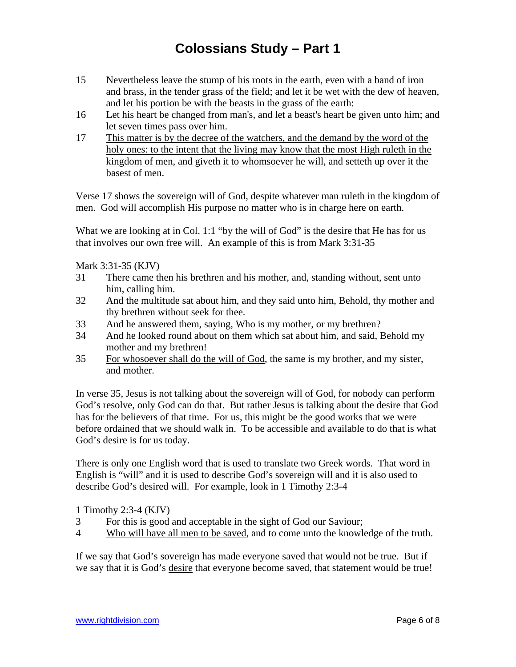- 15 Nevertheless leave the stump of his roots in the earth, even with a band of iron and brass, in the tender grass of the field; and let it be wet with the dew of heaven, and let his portion be with the beasts in the grass of the earth:
- 16 Let his heart be changed from man's, and let a beast's heart be given unto him; and let seven times pass over him.
- 17 This matter is by the decree of the watchers, and the demand by the word of the holy ones: to the intent that the living may know that the most High ruleth in the kingdom of men, and giveth it to whomsoever he will, and setteth up over it the basest of men.

Verse 17 shows the sovereign will of God, despite whatever man ruleth in the kingdom of men. God will accomplish His purpose no matter who is in charge here on earth.

What we are looking at in Col. 1:1 "by the will of God" is the desire that He has for us that involves our own free will. An example of this is from Mark 3:31-35

Mark 3:31-35 (KJV)

- 31 There came then his brethren and his mother, and, standing without, sent unto him, calling him.
- 32 And the multitude sat about him, and they said unto him, Behold, thy mother and thy brethren without seek for thee.
- 33 And he answered them, saying, Who is my mother, or my brethren?
- 34 And he looked round about on them which sat about him, and said, Behold my mother and my brethren!
- 35 For whosoever shall do the will of God, the same is my brother, and my sister, and mother.

In verse 35, Jesus is not talking about the sovereign will of God, for nobody can perform God's resolve, only God can do that. But rather Jesus is talking about the desire that God has for the believers of that time. For us, this might be the good works that we were before ordained that we should walk in. To be accessible and available to do that is what God's desire is for us today.

There is only one English word that is used to translate two Greek words. That word in English is "will" and it is used to describe God's sovereign will and it is also used to describe God's desired will. For example, look in 1 Timothy 2:3-4

1 Timothy 2:3-4 (KJV)

- 3 For this is good and acceptable in the sight of God our Saviour;
- 4 Who will have all men to be saved, and to come unto the knowledge of the truth.

If we say that God's sovereign has made everyone saved that would not be true. But if we say that it is God's desire that everyone become saved, that statement would be true!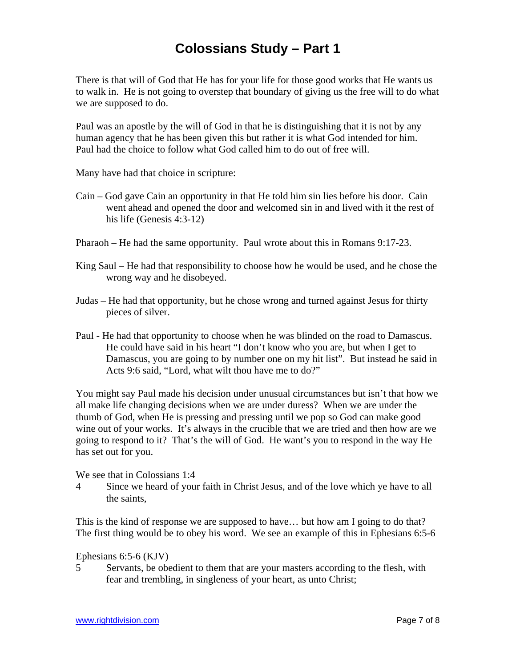There is that will of God that He has for your life for those good works that He wants us to walk in. He is not going to overstep that boundary of giving us the free will to do what we are supposed to do.

Paul was an apostle by the will of God in that he is distinguishing that it is not by any human agency that he has been given this but rather it is what God intended for him. Paul had the choice to follow what God called him to do out of free will.

Many have had that choice in scripture:

- Cain God gave Cain an opportunity in that He told him sin lies before his door. Cain went ahead and opened the door and welcomed sin in and lived with it the rest of his life (Genesis 4:3-12)
- Pharaoh He had the same opportunity. Paul wrote about this in Romans 9:17-23.
- King Saul He had that responsibility to choose how he would be used, and he chose the wrong way and he disobeyed.
- Judas He had that opportunity, but he chose wrong and turned against Jesus for thirty pieces of silver.
- Paul He had that opportunity to choose when he was blinded on the road to Damascus. He could have said in his heart "I don't know who you are, but when I get to Damascus, you are going to by number one on my hit list". But instead he said in Acts 9:6 said, "Lord, what wilt thou have me to do?"

You might say Paul made his decision under unusual circumstances but isn't that how we all make life changing decisions when we are under duress? When we are under the thumb of God, when He is pressing and pressing until we pop so God can make good wine out of your works. It's always in the crucible that we are tried and then how are we going to respond to it? That's the will of God. He want's you to respond in the way He has set out for you.

We see that in Colossians 1:4

4 Since we heard of your faith in Christ Jesus, and of the love which ye have to all the saints,

This is the kind of response we are supposed to have… but how am I going to do that? The first thing would be to obey his word. We see an example of this in Ephesians 6:5-6

Ephesians 6:5-6 (KJV)

5 Servants, be obedient to them that are your masters according to the flesh, with fear and trembling, in singleness of your heart, as unto Christ;